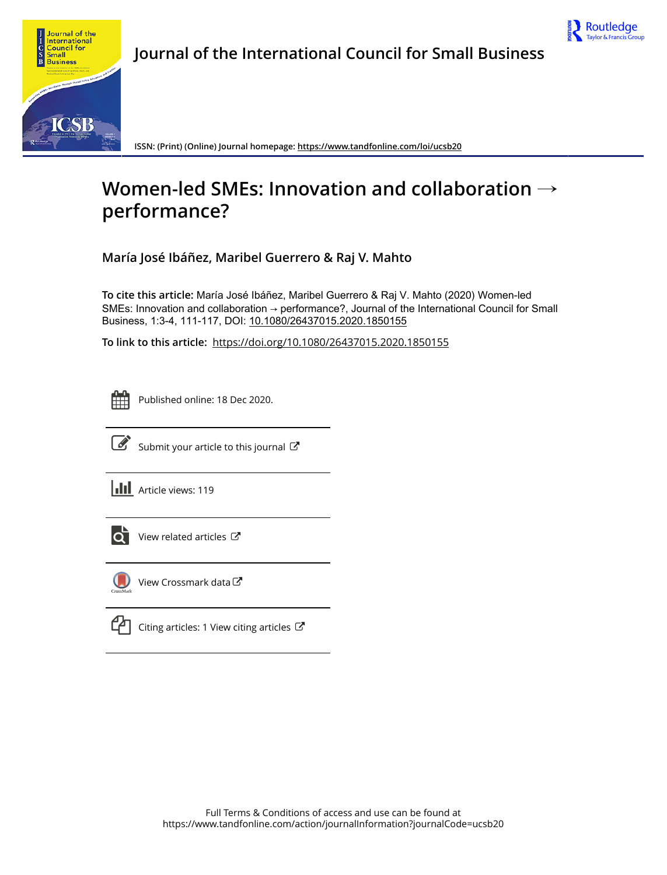



**ISSN: (Print) (Online) Journal homepage:<https://www.tandfonline.com/loi/ucsb20>**

# **Women-led SMEs: Innovation and collaboration** → **performance?**

**María José Ibáñez, Maribel Guerrero & Raj V. Mahto**

**To cite this article:** María José Ibáñez, Maribel Guerrero & Raj V. Mahto (2020) Women-led SMEs: Innovation and collaboration → performance?, Journal of the International Council for Small Business, 1:3-4, 111-117, DOI: [10.1080/26437015.2020.1850155](https://www.tandfonline.com/action/showCitFormats?doi=10.1080/26437015.2020.1850155)

**To link to this article:** <https://doi.org/10.1080/26437015.2020.1850155>

ËË

Published online: 18 Dec 2020.



 $\overrightarrow{S}$  [Submit your article to this journal](https://www.tandfonline.com/action/authorSubmission?journalCode=ucsb20&show=instructions)  $\overrightarrow{S}$ 

**III** Article views: 119



[View related articles](https://www.tandfonline.com/doi/mlt/10.1080/26437015.2020.1850155)  $\mathbb{Z}$ 



[View Crossmark data](http://crossmark.crossref.org/dialog/?doi=10.1080/26437015.2020.1850155&domain=pdf&date_stamp=2020-12-18)<sup>C</sup>

[Citing articles: 1 View citing articles](https://www.tandfonline.com/doi/citedby/10.1080/26437015.2020.1850155#tabModule)  $\mathbb{Z}$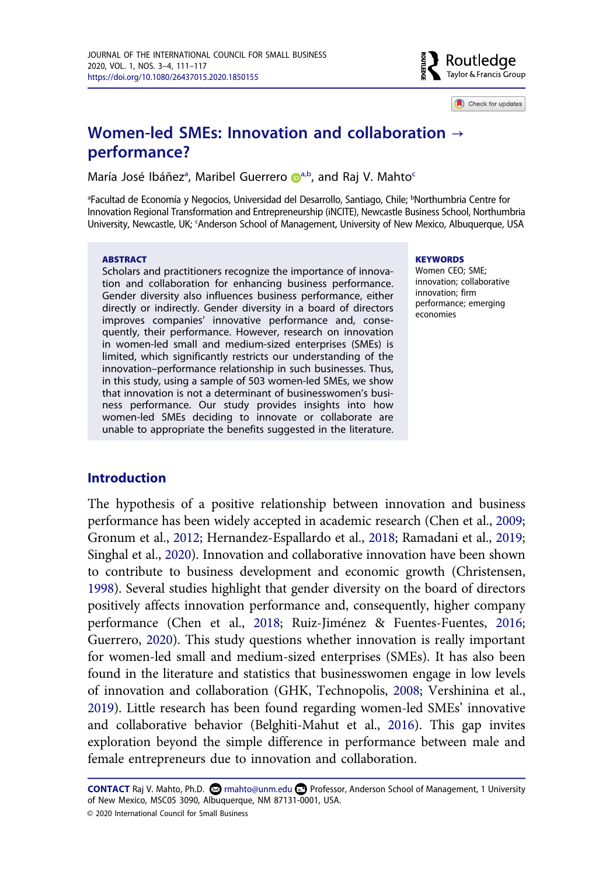

Check for updates

# **Women-led SMEs: Innovation and collaboration** → **performance?**

M[a](#page-1-0)ría J[o](http://orcid.org/0000-0001-7387-1999)sé Ibáñez<sup>a</sup>, Maribel Guerrero D[a,b,](#page-1-0) and Raj V. Mahto<sup>c</sup>

<span id="page-1-1"></span><span id="page-1-0"></span><sup>a</sup>Facultad de Economía y Negocios, Universidad del Desarrollo, Santiago, Chile; <sup>b</sup>Northumbria Centre for Innovation Regional Transformation and Entrepreneurship (iNCITE), Newcastle Business School, Northumbria University, Newcastle, UK; 'Anderson School of Management, University of New Mexico, Albuquerque, USA

#### **ABSTRACT**

Scholars and practitioners recognize the importance of innovation and collaboration for enhancing business performance. Gender diversity also influences business performance, either directly or indirectly. Gender diversity in a board of directors improves companies' innovative performance and, consequently, their performance. However, research on innovation in women-led small and medium-sized enterprises (SMEs) is limited, which significantly restricts our understanding of the innovation–performance relationship in such businesses. Thus, in this study, using a sample of 503 women-led SMEs, we show that innovation is not a determinant of businesswomen's business performance. Our study provides insights into how women-led SMEs deciding to innovate or collaborate are unable to appropriate the benefits suggested in the literature.

#### **KEYWORDS**

Women CEO; SME; innovation; collaborative innovation; firm performance; emerging economies

### **Introduction**

The hypothesis of a positive relationship between innovation and business performance has been widely accepted in academic research (Chen et al., [2009](#page-5-0); Gronum et al., [2012](#page-6-0); Hernandez-Espallardo et al., [2018;](#page-6-1) Ramadani et al., [2019](#page-6-2); Singhal et al., [2020](#page-7-0)). Innovation and collaborative innovation have been shown to contribute to business development and economic growth (Christensen, [1998\)](#page-5-1). Several studies highlight that gender diversity on the board of directors positively affects innovation performance and, consequently, higher company performance (Chen et al., [2018](#page-5-2); Ruiz-Jiménez & Fuentes-Fuentes, [2016](#page-6-3); Guerrero, [2020\)](#page-6-4). This study questions whether innovation is really important for women-led small and medium-sized enterprises (SMEs). It has also been found in the literature and statistics that businesswomen engage in low levels of innovation and collaboration (GHK, Technopolis, [2008;](#page-6-5) Vershinina et al., [2019\)](#page-7-1). Little research has been found regarding women-led SMEs' innovative and collaborative behavior (Belghiti-Mahut et al., [2016\)](#page-5-3). This gap invites exploration beyond the simple difference in performance between male and female entrepreneurs due to innovation and collaboration.

CONTACT Raj V. Mahto, Ph.D. <sup>©</sup> rmahto@unm.edu **□** Professor, Anderson School of Management, 1 University of New Mexico, MSC05 3090, Albuquerque, NM 87131-0001, USA.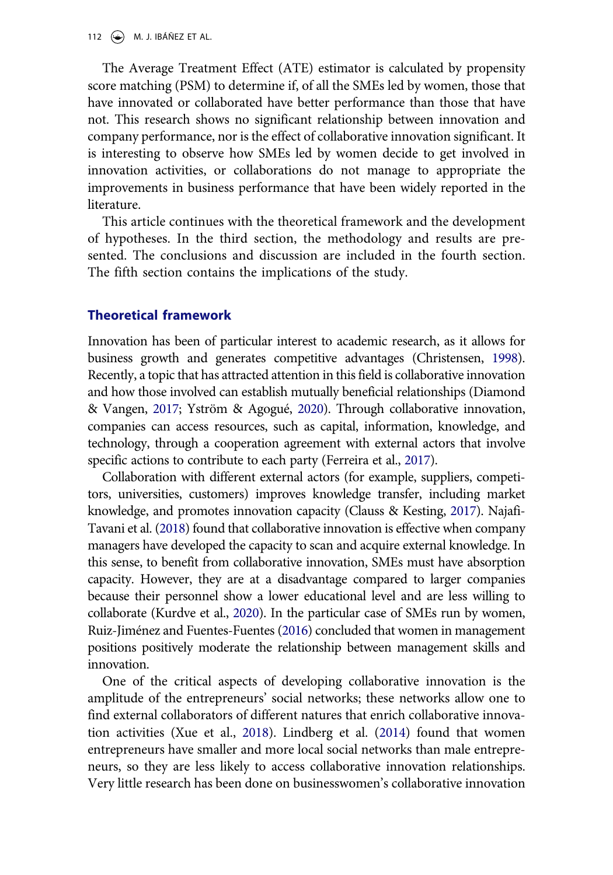112  $\left(\rightarrow\right)$  M. J. IBÁÑEZ ET AL.

The Average Treatment Effect (ATE) estimator is calculated by propensity score matching (PSM) to determine if, of all the SMEs led by women, those that have innovated or collaborated have better performance than those that have not. This research shows no significant relationship between innovation and company performance, nor is the effect of collaborative innovation significant. It is interesting to observe how SMEs led by women decide to get involved in innovation activities, or collaborations do not manage to appropriate the improvements in business performance that have been widely reported in the literature.

This article continues with the theoretical framework and the development of hypotheses. In the third section, the methodology and results are presented. The conclusions and discussion are included in the fourth section. The fifth section contains the implications of the study.

#### **Theoretical framework**

Innovation has been of particular interest to academic research, as it allows for business growth and generates competitive advantages (Christensen, [1998\)](#page-5-1). Recently, a topic that has attracted attention in this field is collaborative innovation and how those involved can establish mutually beneficial relationships (Diamond & Vangen, [2017;](#page-6-6) Yström & Agogué, [2020\)](#page-7-2). Through collaborative innovation, companies can access resources, such as capital, information, knowledge, and technology, through a cooperation agreement with external actors that involve specific actions to contribute to each party (Ferreira et al., [2017\)](#page-6-7).

Collaboration with different external actors (for example, suppliers, competitors, universities, customers) improves knowledge transfer, including market knowledge, and promotes innovation capacity (Clauss & Kesting, [2017\)](#page-5-4). Najafi-Tavani et al. [\(2018](#page-6-8)) found that collaborative innovation is effective when company managers have developed the capacity to scan and acquire external knowledge. In this sense, to benefit from collaborative innovation, SMEs must have absorption capacity. However, they are at a disadvantage compared to larger companies because their personnel show a lower educational level and are less willing to collaborate (Kurdve et al., [2020\)](#page-6-9). In the particular case of SMEs run by women, Ruiz-Jiménez and Fuentes-Fuentes [\(2016](#page-6-3)) concluded that women in management positions positively moderate the relationship between management skills and innovation.

One of the critical aspects of developing collaborative innovation is the amplitude of the entrepreneurs' social networks; these networks allow one to find external collaborators of different natures that enrich collaborative innovation activities (Xue et al., [2018\)](#page-7-3). Lindberg et al. ([2014](#page-6-10)) found that women entrepreneurs have smaller and more local social networks than male entrepreneurs, so they are less likely to access collaborative innovation relationships. Very little research has been done on businesswomen's collaborative innovation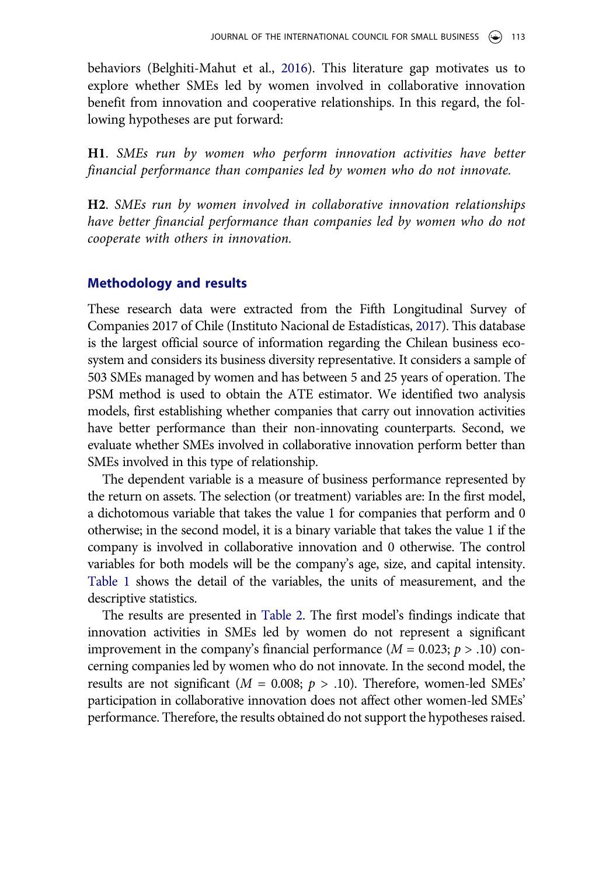behaviors (Belghiti-Mahut et al., [2016\)](#page-5-3). This literature gap motivates us to explore whether SMEs led by women involved in collaborative innovation benefit from innovation and cooperative relationships. In this regard, the following hypotheses are put forward:

**H1**. *SMEs run by women who perform innovation activities have better financial performance than companies led by women who do not innovate.* 

**H2**. *SMEs run by women involved in collaborative innovation relationships have better financial performance than companies led by women who do not cooperate with others in innovation.* 

#### **Methodology and results**

These research data were extracted from the Fifth Longitudinal Survey of Companies 2017 of Chile (Instituto Nacional de Estadísticas, [2017\)](#page-6-11). This database is the largest official source of information regarding the Chilean business ecosystem and considers its business diversity representative. It considers a sample of 503 SMEs managed by women and has between 5 and 25 years of operation. The PSM method is used to obtain the ATE estimator. We identified two analysis models, first establishing whether companies that carry out innovation activities have better performance than their non-innovating counterparts. Second, we evaluate whether SMEs involved in collaborative innovation perform better than SMEs involved in this type of relationship.

The dependent variable is a measure of business performance represented by the return on assets. The selection (or treatment) variables are: In the first model, a dichotomous variable that takes the value 1 for companies that perform and 0 otherwise; in the second model, it is a binary variable that takes the value 1 if the company is involved in collaborative innovation and 0 otherwise. The control variables for both models will be the company's age, size, and capital intensity. [Table 1](#page-4-0) shows the detail of the variables, the units of measurement, and the descriptive statistics.

The results are presented in [Table 2.](#page-4-1) The first model's findings indicate that innovation activities in SMEs led by women do not represent a significant improvement in the company's financial performance  $(M = 0.023; p > .10)$  concerning companies led by women who do not innovate. In the second model, the results are not significant ( $M = 0.008$ ;  $p > .10$ ). Therefore, women-led SMEs<sup>'</sup> participation in collaborative innovation does not affect other women-led SMEs' performance. Therefore, the results obtained do not support the hypotheses raised.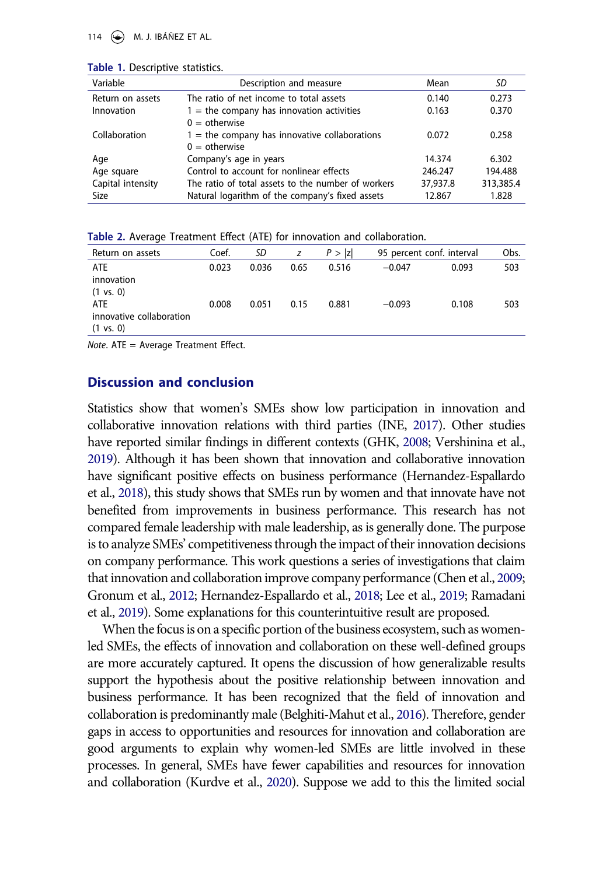114  $\left(\bigstar\right)$  M. J. IBÁÑEZ ET AL.

| Variable          | Description and measure                            | Mean     | SD        |
|-------------------|----------------------------------------------------|----------|-----------|
| Return on assets  | The ratio of net income to total assets            | 0.140    | 0.273     |
| Innovation        | $1$ = the company has innovation activities        | 0.163    | 0.370     |
|                   | $0 =$ otherwise                                    |          |           |
| Collaboration     | $1$ = the company has innovative collaborations    | 0.072    | 0.258     |
|                   | $0 =$ otherwise                                    |          |           |
| Age               | Company's age in years                             | 14.374   | 6.302     |
| Age square        | Control to account for nonlinear effects           | 246.247  | 194.488   |
| Capital intensity | The ratio of total assets to the number of workers | 37,937.8 | 313,385.4 |
| Size              | Natural logarithm of the company's fixed assets    | 12.867   | 1.828     |

<span id="page-4-0"></span>**Table 1.** Descriptive statistics.

<span id="page-4-1"></span>

| Table 2. Average Treatment Effect (ATE) for innovation and collaboration. |  |
|---------------------------------------------------------------------------|--|
|---------------------------------------------------------------------------|--|

| Return on assets         | Coef. | SD    | z    | P >  z | 95 percent conf. interval |       | Obs. |
|--------------------------|-------|-------|------|--------|---------------------------|-------|------|
| ATE                      | 0.023 | 0.036 | 0.65 | 0.516  | $-0.047$                  | 0.093 | 503  |
| innovation               |       |       |      |        |                           |       |      |
| $(1 \text{ vs. } 0)$     |       |       |      |        |                           |       |      |
| <b>ATE</b>               | 0.008 | 0.051 | 0.15 | 0.881  | $-0.093$                  | 0.108 | 503  |
| innovative collaboration |       |       |      |        |                           |       |      |
| $(1 \text{ vs. } 0)$     |       |       |      |        |                           |       |      |

*Note*. ATE = Average Treatment Effect.

#### **Discussion and conclusion**

Statistics show that women's SMEs show low participation in innovation and collaborative innovation relations with third parties (INE, [2017](#page-6-11)). Other studies have reported similar findings in different contexts (GHK, [2008;](#page-6-5) Vershinina et al., [2019\)](#page-7-1). Although it has been shown that innovation and collaborative innovation have significant positive effects on business performance (Hernandez-Espallardo et al., [2018\)](#page-6-1), this study shows that SMEs run by women and that innovate have not benefited from improvements in business performance. This research has not compared female leadership with male leadership, as is generally done. The purpose is to analyze SMEs' competitiveness through the impact of their innovation decisions on company performance. This work questions a series of investigations that claim that innovation and collaboration improve company performance (Chen et al., [2009](#page-5-0); Gronum et al., [2012;](#page-6-0) Hernandez-Espallardo et al., [2018](#page-6-1); Lee et al., [2019;](#page-6-12) Ramadani et al., [2019\)](#page-6-2). Some explanations for this counterintuitive result are proposed.

When the focus is on a specific portion of the business ecosystem, such as womenled SMEs, the effects of innovation and collaboration on these well-defined groups are more accurately captured. It opens the discussion of how generalizable results support the hypothesis about the positive relationship between innovation and business performance. It has been recognized that the field of innovation and collaboration is predominantly male (Belghiti-Mahut et al., [2016\)](#page-5-3). Therefore, gender gaps in access to opportunities and resources for innovation and collaboration are good arguments to explain why women-led SMEs are little involved in these processes. In general, SMEs have fewer capabilities and resources for innovation and collaboration (Kurdve et al., [2020\)](#page-6-9). Suppose we add to this the limited social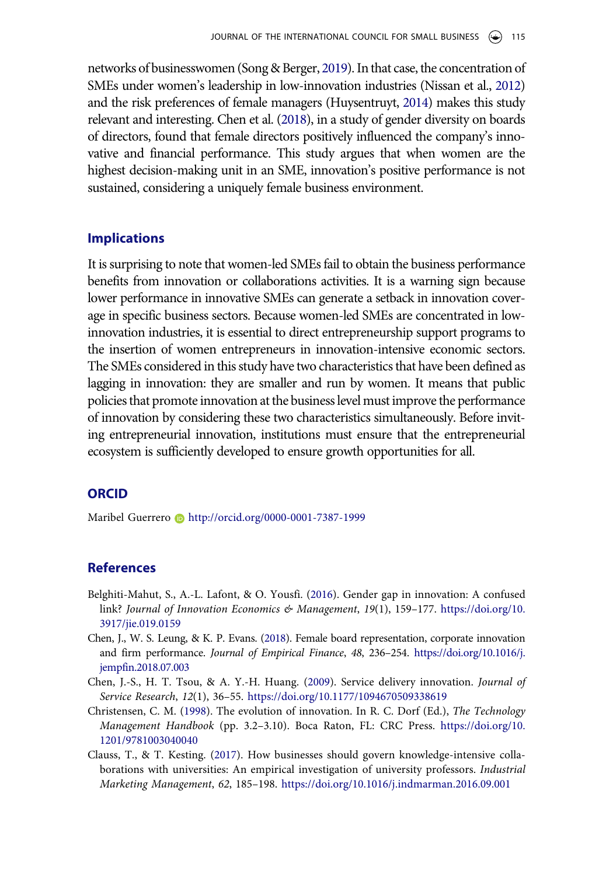networks of businesswomen (Song & Berger, [2019](#page-7-4)). In that case, the concentration of SMEs under women's leadership in low-innovation industries (Nissan et al., [2012](#page-6-13)) and the risk preferences of female managers (Huysentruyt, [2014\)](#page-6-14) makes this study relevant and interesting. Chen et al. [\(2018\)](#page-5-2), in a study of gender diversity on boards of directors, found that female directors positively influenced the company's innovative and financial performance. This study argues that when women are the highest decision-making unit in an SME, innovation's positive performance is not sustained, considering a uniquely female business environment.

#### **Implications**

It is surprising to note that women-led SMEs fail to obtain the business performance benefits from innovation or collaborations activities. It is a warning sign because lower performance in innovative SMEs can generate a setback in innovation coverage in specific business sectors. Because women-led SMEs are concentrated in lowinnovation industries, it is essential to direct entrepreneurship support programs to the insertion of women entrepreneurs in innovation-intensive economic sectors. The SMEs considered in this study have two characteristics that have been defined as lagging in innovation: they are smaller and run by women. It means that public policies that promote innovation at the business level must improve the performance of innovation by considering these two characteristics simultaneously. Before inviting entrepreneurial innovation, institutions must ensure that the entrepreneurial ecosystem is sufficiently developed to ensure growth opportunities for all.

### **ORCID**

Maribel Guerrero **b** http://orcid.org/0000-0001-7387-1999

## **References**

- <span id="page-5-3"></span>Belghiti-Mahut, S., A.-L. Lafont, & O. Yousfi. (2016). Gender gap in innovation: A confused link? *Journal of Innovation Economics & Management*, *19*(1), 159–177. [https://doi.org/10.](https://doi.org/10.3917/jie.019.0159)  [3917/jie.019.0159](https://doi.org/10.3917/jie.019.0159)
- <span id="page-5-2"></span>Chen, J., W. S. Leung, & K. P. Evans. (2018). Female board representation, corporate innovation and firm performance. *Journal of Empirical Finance*, *48*, 236–254. [https://doi.org/10.1016/j.](https://doi.org/10.1016/j.jempfin.2018.07.003)  [jempfin.2018.07.003](https://doi.org/10.1016/j.jempfin.2018.07.003)
- <span id="page-5-0"></span>Chen, J.-S., H. T. Tsou, & A. Y.-H. Huang. (2009). Service delivery innovation. *Journal of Service Research*, *12*(1), 36–55. <https://doi.org/10.1177/1094670509338619>
- <span id="page-5-1"></span>Christensen, C. M. (1998). The evolution of innovation. In R. C. Dorf (Ed.), *The Technology Management Handbook* (pp. 3.2–3.10). Boca Raton, FL: CRC Press. [https://doi.org/10.](https://doi.org/10.1201/9781003040040)  [1201/9781003040040](https://doi.org/10.1201/9781003040040)
- <span id="page-5-4"></span>Clauss, T., & T. Kesting. (2017). How businesses should govern knowledge-intensive collaborations with universities: An empirical investigation of university professors. *Industrial Marketing Management*, *62*, 185–198. <https://doi.org/10.1016/j.indmarman.2016.09.001>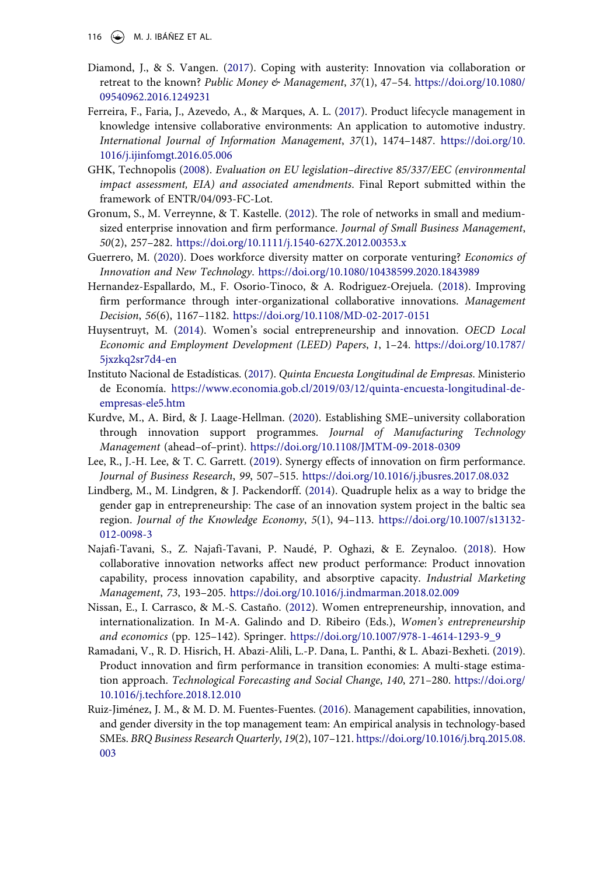- 116  $\left(\bigstar\right)$  M. J. IBÁÑEZ ET AL.
- <span id="page-6-6"></span>Diamond, J., & S. Vangen. (2017). Coping with austerity: Innovation via collaboration or retreat to the known? *Public Money & Management*, *37*(1), 47–54. [https://doi.org/10.1080/](https://doi.org/10.1080/09540962.2016.1249231)  [09540962.2016.1249231](https://doi.org/10.1080/09540962.2016.1249231)
- <span id="page-6-7"></span>Ferreira, F., Faria, J., Azevedo, A., & Marques, A. L. (2017). Product lifecycle management in knowledge intensive collaborative environments: An application to automotive industry. *International Journal of Information Management*, *37*(1), 1474–1487. [https://doi.org/10.](https://doi.org/10.1016/j.ijinfomgt.2016.05.006)  [1016/j.ijinfomgt.2016.05.006](https://doi.org/10.1016/j.ijinfomgt.2016.05.006)
- <span id="page-6-5"></span>GHK, Technopolis (2008). *Evaluation on EU legislation–directive 85/337/EEC (environmental impact assessment, EIA) and associated amendments*. Final Report submitted within the framework of ENTR/04/093-FC-Lot.
- <span id="page-6-0"></span>Gronum, S., M. Verreynne, & T. Kastelle. (2012). The role of networks in small and mediumsized enterprise innovation and firm performance. *Journal of Small Business Management*, *50*(2), 257–282. <https://doi.org/10.1111/j.1540-627X.2012.00353.x>
- <span id="page-6-4"></span>Guerrero, M. (2020). Does workforce diversity matter on corporate venturing? *Economics of Innovation and New Technology*. <https://doi.org/10.1080/10438599.2020.1843989>
- <span id="page-6-1"></span>Hernandez-Espallardo, M., F. Osorio-Tinoco, & A. Rodriguez-Orejuela. (2018). Improving firm performance through inter-organizational collaborative innovations. *Management Decision*, *56*(6), 1167–1182. <https://doi.org/10.1108/MD-02-2017-0151>
- <span id="page-6-14"></span>Huysentruyt, M. (2014). Women's social entrepreneurship and innovation. *OECD Local Economic and Employment Development (LEED) Papers*, *1*, 1–24. [https://doi.org/10.1787/](https://doi.org/10.1787/5jxzkq2sr7d4-en)  [5jxzkq2sr7d4-en](https://doi.org/10.1787/5jxzkq2sr7d4-en)
- <span id="page-6-11"></span>Instituto Nacional de Estadísticas. (2017). *Quinta Encuesta Longitudinal de Empresas*. Ministerio de Economía. [https://www.economia.gob.cl/2019/03/12/quinta-encuesta-longitudinal-de](https://www.economia.gob.cl/2019/03/12/quinta-encuesta-longitudinal-de-empresas-ele5.htm)[empresas-ele5.htm](https://www.economia.gob.cl/2019/03/12/quinta-encuesta-longitudinal-de-empresas-ele5.htm)
- <span id="page-6-9"></span>Kurdve, M., A. Bird, & J. Laage-Hellman. (2020). Establishing SME–university collaboration through innovation support programmes. *Journal of Manufacturing Technology Management* (ahead–of–print). <https://doi.org/10.1108/JMTM-09-2018-0309>
- <span id="page-6-12"></span>Lee, R., J.-H. Lee, & T. C. Garrett. (2019). Synergy effects of innovation on firm performance. *Journal of Business Research*, *99*, 507–515. <https://doi.org/10.1016/j.jbusres.2017.08.032>
- <span id="page-6-10"></span>Lindberg, M., M. Lindgren, & J. Packendorff. (2014). Quadruple helix as a way to bridge the gender gap in entrepreneurship: The case of an innovation system project in the baltic sea region. *Journal of the Knowledge Economy*, *5*(1), 94–113. [https://doi.org/10.1007/s13132-](https://doi.org/10.1007/s13132-012-0098-3) [012-0098-3](https://doi.org/10.1007/s13132-012-0098-3)
- <span id="page-6-8"></span>Najafi-Tavani, S., Z. Najafi-Tavani, P. Naudé, P. Oghazi, & E. Zeynaloo. (2018). How collaborative innovation networks affect new product performance: Product innovation capability, process innovation capability, and absorptive capacity. *Industrial Marketing Management*, *73*, 193–205. <https://doi.org/10.1016/j.indmarman.2018.02.009>
- <span id="page-6-13"></span>Nissan, E., I. Carrasco, & M.-S. Castaño. (2012). Women entrepreneurship, innovation, and internationalization. In M-A. Galindo and D. Ribeiro (Eds.), *Women's entrepreneurship and economics* (pp. 125–142). Springer. [https://doi.org/10.1007/978-1-4614-1293-9\\_9](https://doi.org/10.1007/978-1-4614-1293-9_9)
- <span id="page-6-2"></span>Ramadani, V., R. D. Hisrich, H. Abazi-Alili, L.-P. Dana, L. Panthi, & L. Abazi-Bexheti. (2019). Product innovation and firm performance in transition economies: A multi-stage estimation approach. *Technological Forecasting and Social Change*, *140*, 271–280. [https://doi.org/](https://doi.org/10.1016/j.techfore.2018.12.010)  [10.1016/j.techfore.2018.12.010](https://doi.org/10.1016/j.techfore.2018.12.010)
- <span id="page-6-3"></span>Ruiz-Jiménez, J. M., & M. D. M. Fuentes-Fuentes. (2016). Management capabilities, innovation, and gender diversity in the top management team: An empirical analysis in technology-based SMEs. *BRQ Business Research Quarterly*, *19*(2), 107–121. [https://doi.org/10.1016/j.brq.2015.08.](https://doi.org/10.1016/j.brq.2015.08.003)  [003](https://doi.org/10.1016/j.brq.2015.08.003)